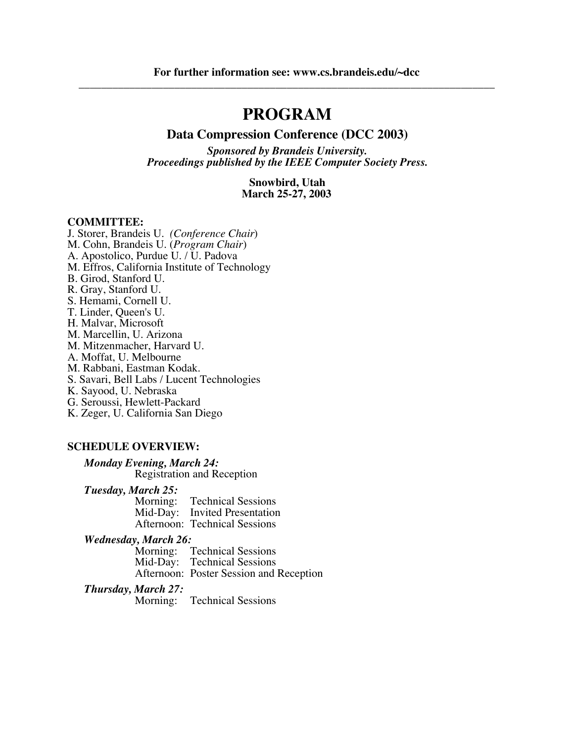# **PROGRAM**

#### **Data Compression Conference (DCC 2003)**

*Sponsored by Brandeis University. Proceedings published by the IEEE Computer Society Press.*

> **Snowbird, Utah March 25-27, 2003**

#### **COMMITTEE:**

J. Storer, Brandeis U. *(Conference Chair*) M. Cohn, Brandeis U. (*Program Chair*) A. Apostolico, Purdue U. / U. Padova M. Effros, California Institute of Technology B. Girod, Stanford U. R. Gray, Stanford U. S. Hemami, Cornell U. T. Linder, Queen's U. H. Malvar, Microsoft M. Marcellin, U. Arizona M. Mitzenmacher, Harvard U. A. Moffat, U. Melbourne M. Rabbani, Eastman Kodak. S. Savari, Bell Labs / Lucent Technologies K. Sayood, U. Nebraska G. Seroussi, Hewlett-Packard K. Zeger, U. California San Diego

#### **SCHEDULE OVERVIEW:**

*Monday Evening, March 24:* Registration and Reception

*Tuesday, March 25:*

Morning: Technical Sessions Mid-Day: Invited Presentation Afternoon: Technical Sessions

*Wednesday, March 26:*

**Technical Sessions** Mid-Day: Technical Sessions Afternoon: Poster Session and Reception

*Thursday, March 27:*

Morning: Technical Sessions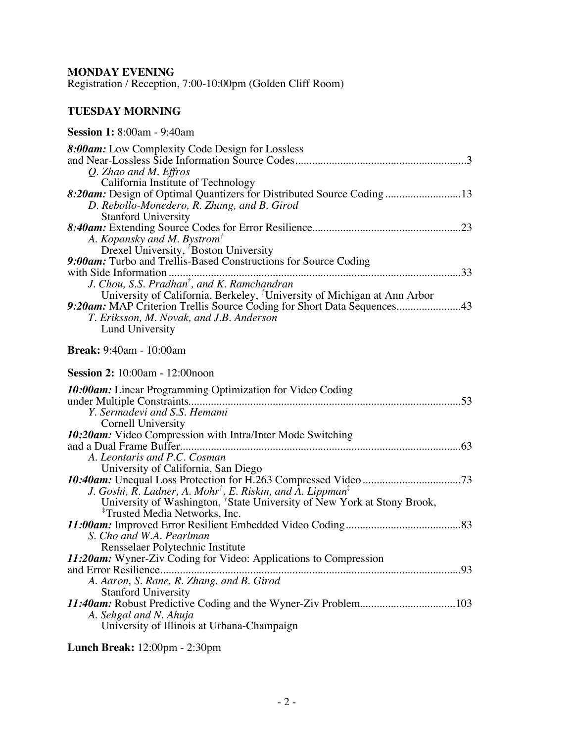## **MONDAY EVENING**

Registration / Reception, 7:00-10:00pm (Golden Cliff Room)

## **TUESDAY MORNING**

#### **Session 1:** 8:00am - 9:40am

| 8:00am: Low Complexity Code Design for Lossless                                                                                                                                                                               |
|-------------------------------------------------------------------------------------------------------------------------------------------------------------------------------------------------------------------------------|
| Q. Zhao and M. Effros<br>California Institute of Technology                                                                                                                                                                   |
| 8:20am: Design of Optimal Quantizers for Distributed Source Coding13<br>D. Rebollo-Monedero, R. Zhang, and B. Girod                                                                                                           |
| <b>Stanford University</b><br>A. Kopansky and M. Bystrom <sup>†</sup><br>Drexel University, <sup>7</sup> Boston University                                                                                                    |
| 9:00am: Turbo and Trellis-Based Constructions for Source Coding<br>J. Chou, S.S. Pradhan <sup>†</sup> , and K. Ramchandran                                                                                                    |
| University of California, Berkeley, <sup>†</sup> University of Michigan at Ann Arbor<br>9:20am: MAP Criterion Trellis Source Coding for Short Data Sequences43<br>T. Eriksson, M. Novak, and J.B. Anderson<br>Lund University |
| <b>Break:</b> 9:40am - 10:00am                                                                                                                                                                                                |
| <b>Session 2:</b> 10:00am - 12:00noon                                                                                                                                                                                         |
| 10:00am: Linear Programming Optimization for Video Coding<br>Y. Sermadevi and S.S. Hemami<br>Cornell University                                                                                                               |
| 10:20am: Video Compression with Intra/Inter Mode Switching<br>A. Leontaris and P.C. Cosman<br>University of California, San Diego                                                                                             |
| J. Goshi, R. Ladner, A. Mohr <sup>†</sup> , E. Riskin, and A. Lippman <sup>‡</sup><br>University of Washington, <sup>†</sup> State University of New York at Stony Brook,<br><sup>‡</sup> Trusted Media Networks, Inc.        |
| S. Cho and W.A. Pearlman<br>Rensselaer Polytechnic Institute                                                                                                                                                                  |
| 11:20am: Wyner-Ziv Coding for Video: Applications to Compression<br>A. Aaron, S. Rane, R. Zhang, and B. Girod<br><b>Stanford University</b>                                                                                   |
| A. Sehgal and N. Ahuja<br>University of Illinois at Urbana-Champaign                                                                                                                                                          |

**Lunch Break:** 12:00pm - 2:30pm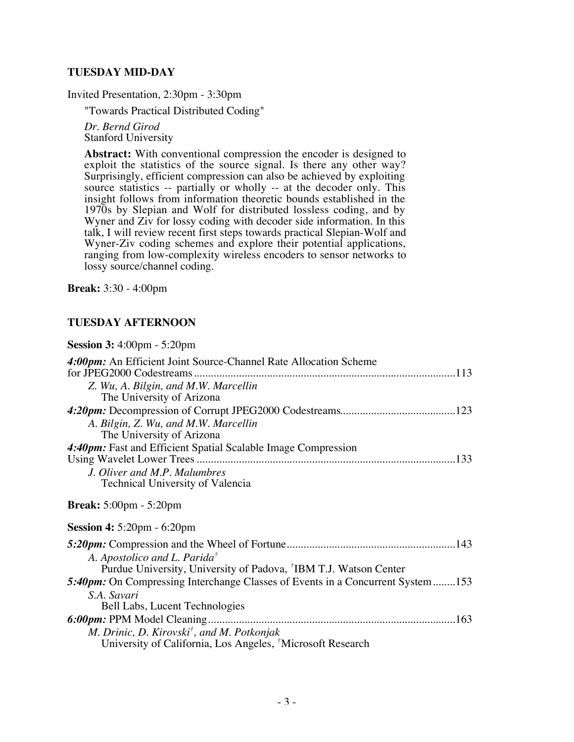#### **TUESDAY MID-DAY**

Invited Presentation, 2:30pm - 3:30pm

"Towards Practical Distributed Coding"

*Dr. Bernd Girod* Stanford University

**Abstract:** With conventional compression the encoder is designed to exploit the statistics of the source signal. Is there any other way? Surprisingly, efficient compression can also be achieved by exploiting source statistics -- partially or wholly -- at the decoder only. This insight follows from information theoretic bounds established in the 1970s by Slepian and Wolf for distributed lossless coding, and by Wyner and Ziv for lossy coding with decoder side information. In this talk, I will review recent first steps towards practical Slepian-Wolf and Wyner-Ziv coding schemes and explore their potential applications, ranging from low-complexity wireless encoders to sensor networks to lossy source/channel coding.

**Break:** 3:30 - 4:00pm

#### **TUESDAY AFTERNOON**

#### **Session 3:** 4:00pm - 5:20pm

| 4:00pm: An Efficient Joint Source-Channel Rate Allocation Scheme               |  |
|--------------------------------------------------------------------------------|--|
|                                                                                |  |
| Z. Wu, A. Bilgin, and M.W. Marcellin<br>The University of Arizona              |  |
|                                                                                |  |
|                                                                                |  |
| A. Bilgin, Z. Wu, and M.W. Marcellin                                           |  |
| The University of Arizona                                                      |  |
| 4:40pm: Fast and Efficient Spatial Scalable Image Compression                  |  |
|                                                                                |  |
| J. Oliver and M.P. Malumbres                                                   |  |
| Technical University of Valencia                                               |  |
| <b>Break:</b> $5:00 \text{pm} - 5:20 \text{pm}$                                |  |
| <b>Session 4:</b> 5:20pm - 6:20pm                                              |  |
|                                                                                |  |
| A. Apostolico and L. Parida <sup>†</sup>                                       |  |
| Purdue University, University of Padova, <sup>†</sup> IBM T.J. Watson Center   |  |
| 5:40pm: On Compressing Interchange Classes of Events in a Concurrent System153 |  |
| S.A. Savari                                                                    |  |
| Bell Labs, Lucent Technologies                                                 |  |
|                                                                                |  |
|                                                                                |  |
| M. Drinic, D. Kirovski <sup>†</sup> , and M. Potkonjak                         |  |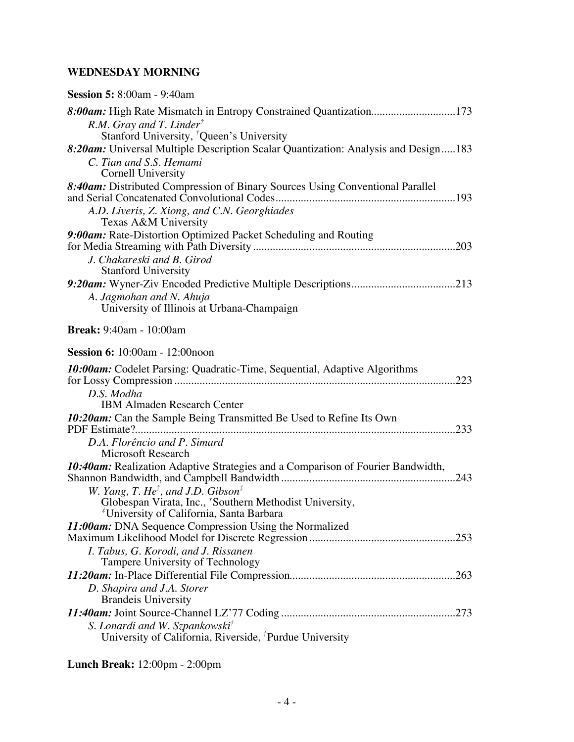## **WEDNESDAY MORNING**

| <b>Session 5:</b> 8:00am - 9:40am                                                                                        |
|--------------------------------------------------------------------------------------------------------------------------|
| 8:00am: High Rate Mismatch in Entropy Constrained Quantization173                                                        |
| $R.M.$ Gray and T. Linder <sup>†</sup><br>Stanford University, <sup>†</sup> Queen's University                           |
| 8:20am: Universal Multiple Description Scalar Quantization: Analysis and Design183                                       |
| C. Tian and S.S. Hemami                                                                                                  |
| Cornell University                                                                                                       |
| 8:40am: Distributed Compression of Binary Sources Using Conventional Parallel                                            |
| A.D. Liveris, Z. Xiong, and C.N. Georghiades<br>Texas A&M University                                                     |
| 9:00am: Rate-Distortion Optimized Packet Scheduling and Routing                                                          |
| J. Chakareski and B. Girod<br><b>Stanford University</b>                                                                 |
|                                                                                                                          |
| A. Jagmohan and N. Ahuja<br>University of Illinois at Urbana-Champaign                                                   |
| <b>Break:</b> 9:40am - 10:00am                                                                                           |
| <b>Session 6:</b> 10:00am - 12:00noon                                                                                    |
| 10:00am: Codelet Parsing: Quadratic-Time, Sequential, Adaptive Algorithms                                                |
| D.S. Modha<br><b>IBM Almaden Research Center</b>                                                                         |
| 10:20am: Can the Sample Being Transmitted Be Used to Refine Its Own                                                      |
| D.A. Florêncio and P. Simard<br><b>Microsoft Research</b>                                                                |
| <b>10:40am:</b> Realization Adaptive Strategies and a Comparison of Fourier Bandwidth,                                   |
| W. Yang, T. He <sup>†</sup> , and J.D. Gibson <sup>‡</sup>                                                               |
| Globespan Virata, Inc., 'Southern Methodist University,<br><sup>#</sup> University of California, Santa Barbara          |
| 11:00am: DNA Sequence Compression Using the Normalized                                                                   |
|                                                                                                                          |
| I. Tabus, G. Korodi, and J. Rissanen<br>Tampere University of Technology                                                 |
|                                                                                                                          |
| D. Shapira and J.A. Storer<br><b>Brandeis University</b>                                                                 |
|                                                                                                                          |
| S. Lonardi and W. Szpankowski <sup>†</sup><br>University of California, Riverside, <sup><i>†</i></sup> Purdue University |

## **Lunch Break:** 12:00pm - 2:00pm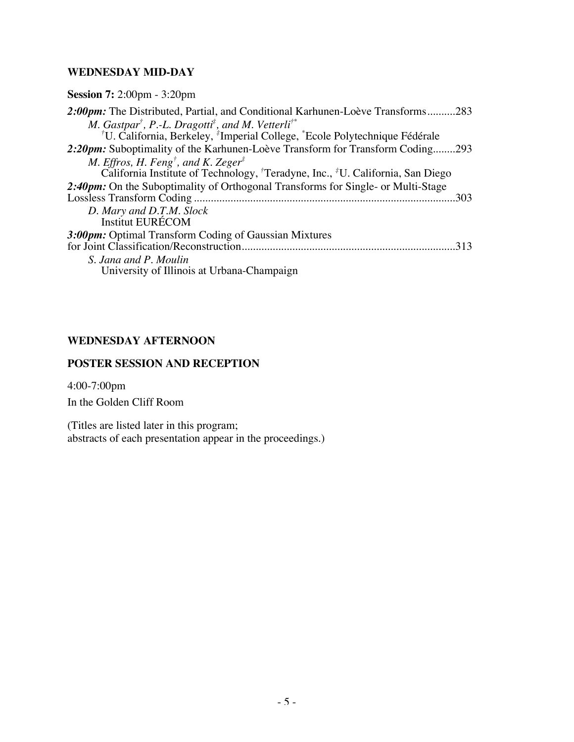#### **WEDNESDAY MID-DAY**

| 2:00pm: The Distributed, Partial, and Conditional Karhunen-Loève Transforms283                                 |  |
|----------------------------------------------------------------------------------------------------------------|--|
| M. Gastpar <sup>†</sup> , P.-L. Dragotti <sup>‡</sup> , and M. Vetterli <sup>†*</sup>                          |  |
| <sup>†</sup> U. California, Berkeley, <sup>†</sup> Imperial College, <sup>*</sup> Ecole Polytechnique Fédérale |  |
| 2:20pm: Suboptimality of the Karhunen-Loève Transform for Transform Coding293                                  |  |
| M. Effros, H. Feng <sup>†</sup> , and K. Zeger <sup>‡</sup>                                                    |  |
| California Institute of Technology, <sup>†</sup> Teradyne, Inc., <sup>‡</sup> U. California, San Diego         |  |
| 2:40pm: On the Suboptimality of Orthogonal Transforms for Single- or Multi-Stage                               |  |
| 303                                                                                                            |  |
| D. Mary and D.T.M. Slock                                                                                       |  |
| <b>Institut EURÉCOM</b>                                                                                        |  |
| 3:00pm: Optimal Transform Coding of Gaussian Mixtures                                                          |  |
| for Joint Classification/Reconstruction                                                                        |  |
| S. Jana and P. Moulin                                                                                          |  |
| University of Illinois at Urbana-Champaign                                                                     |  |

### **WEDNESDAY AFTERNOON**

## **POSTER SESSION AND RECEPTION**

4:00-7:00pm In the Golden Cliff Room

(Titles are listed later in this program; abstracts of each presentation appear in the proceedings.)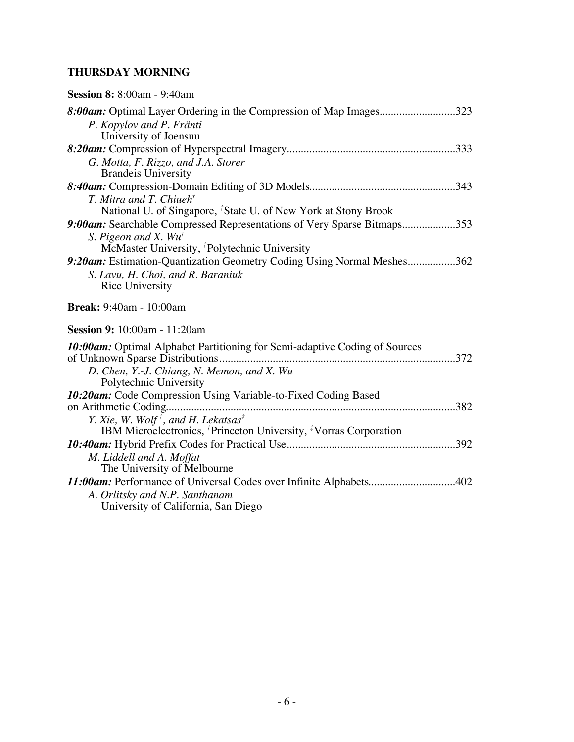### **THURSDAY MORNING**

| <b>Session 8:</b> 8:00am - 9:40am                                                                           |
|-------------------------------------------------------------------------------------------------------------|
| 8:00am: Optimal Layer Ordering in the Compression of Map Images323                                          |
| P. Kopylov and P. Fränti                                                                                    |
| University of Joensuu                                                                                       |
|                                                                                                             |
| G. Motta, F. Rizzo, and J.A. Storer                                                                         |
| <b>Brandeis University</b>                                                                                  |
|                                                                                                             |
| $T.$ Mitra and T. Chiueh $^{\dagger}$                                                                       |
| National U. of Singapore, <sup>†</sup> State U. of New York at Stony Brook                                  |
| 9:00am: Searchable Compressed Representations of Very Sparse Bitmaps353<br>S. Pigeon and X. Wu <sup>†</sup> |
| McMaster University, 'Polytechnic University                                                                |
| 9:20am: Estimation-Quantization Geometry Coding Using Normal Meshes362                                      |
| S. Lavu, H. Choi, and R. Baraniuk                                                                           |
| <b>Rice University</b>                                                                                      |
| <b>Break:</b> 9:40am - 10:00am                                                                              |
|                                                                                                             |
| <b>Session 9:</b> 10:00am - 11:20am                                                                         |
| 10:00am: Optimal Alphabet Partitioning for Semi-adaptive Coding of Sources                                  |
| D. Chen, Y.-J. Chiang, N. Memon, and X. Wu                                                                  |
| Polytechnic University                                                                                      |
| 10:20am: Code Compression Using Variable-to-Fixed Coding Based                                              |
|                                                                                                             |
| Y. Xie, W. Wolf <sup>†</sup> , and H. Lekatsas <sup>‡</sup>                                                 |
| IBM Microelectronics, <sup>†</sup> Princeton University, <sup>‡</sup> Vorras Corporation                    |
| M. Liddell and A. Moffat                                                                                    |
| The University of Melbourne                                                                                 |
| 11:00am: Performance of Universal Codes over Infinite Alphabets402                                          |
| A. Orlitsky and N.P. Santhanam                                                                              |
| University of California, San Diego                                                                         |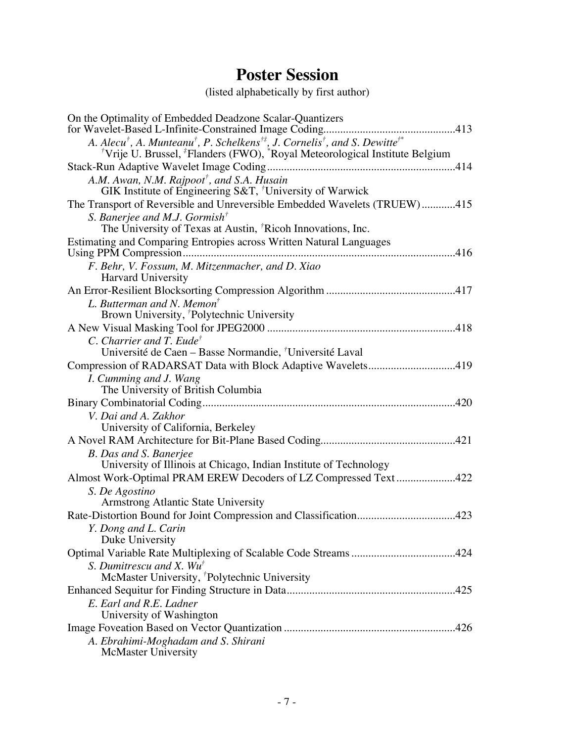# **Poster Session**

(listed alphabetically by first author)

| On the Optimality of Embedded Deadzone Scalar-Quantizers                                                                                                                                                                                                   |
|------------------------------------------------------------------------------------------------------------------------------------------------------------------------------------------------------------------------------------------------------------|
| A. Alecu <sup>†</sup> , A. Munteanu <sup>†</sup> , P. Schelkens <sup>†‡</sup> , J. Cornelis <sup>†</sup> , and S. Dewitte <sup>†*</sup><br><sup>†</sup> Vrije U. Brussel, <sup>‡</sup> Flanders (FWO), <sup>*</sup> Royal Meteorological Institute Belgium |
|                                                                                                                                                                                                                                                            |
| A.M. Awan, N.M. Rajpoot <sup>†</sup> , and S.A. Husain                                                                                                                                                                                                     |
| GIK Institute of Engineering S&T, $\overline{'}$ University of Warwick                                                                                                                                                                                     |
| The Transport of Reversible and Unreversible Embedded Wavelets (TRUEW)415                                                                                                                                                                                  |
| S. Banerjee and M.J. Gormish <sup>†</sup>                                                                                                                                                                                                                  |
| The University of Texas at Austin, <sup>†</sup> Ricoh Innovations, Inc.                                                                                                                                                                                    |
| Estimating and Comparing Entropies across Written Natural Languages                                                                                                                                                                                        |
|                                                                                                                                                                                                                                                            |
| F. Behr, V. Fossum, M. Mitzenmacher, and D. Xiao                                                                                                                                                                                                           |
| <b>Harvard University</b>                                                                                                                                                                                                                                  |
|                                                                                                                                                                                                                                                            |
| L. Butterman and N. Memon <sup>†</sup>                                                                                                                                                                                                                     |
| Brown University, <sup>†</sup> Polytechnic University                                                                                                                                                                                                      |
|                                                                                                                                                                                                                                                            |
| C. Charrier and T. Eude <sup>†</sup>                                                                                                                                                                                                                       |
| Université de Caen – Basse Normandie, <sup>†</sup> Université Laval                                                                                                                                                                                        |
| Compression of RADARSAT Data with Block Adaptive Wavelets419                                                                                                                                                                                               |
| I. Cumming and J. Wang<br>The University of British Columbia                                                                                                                                                                                               |
|                                                                                                                                                                                                                                                            |
| V. Dai and A. Zakhor                                                                                                                                                                                                                                       |
| University of California, Berkeley                                                                                                                                                                                                                         |
|                                                                                                                                                                                                                                                            |
| B. Das and S. Banerjee                                                                                                                                                                                                                                     |
| University of Illinois at Chicago, Indian Institute of Technology                                                                                                                                                                                          |
| Almost Work-Optimal PRAM EREW Decoders of LZ Compressed Text422                                                                                                                                                                                            |
| S. De Agostino                                                                                                                                                                                                                                             |
| Armstrong Atlantic State University                                                                                                                                                                                                                        |
| Rate-Distortion Bound for Joint Compression and Classification423                                                                                                                                                                                          |
| Y. Dong and L. Carin                                                                                                                                                                                                                                       |
| Duke University                                                                                                                                                                                                                                            |
| S. Dumitrescu and X. $Wu^{\dagger}$                                                                                                                                                                                                                        |
| McMaster University, 'Polytechnic University                                                                                                                                                                                                               |
|                                                                                                                                                                                                                                                            |
| E. Earl and R.E. Ladner                                                                                                                                                                                                                                    |
| University of Washington                                                                                                                                                                                                                                   |
|                                                                                                                                                                                                                                                            |
| A. Ebrahimi-Moghadam and S. Shirani                                                                                                                                                                                                                        |
| <b>McMaster University</b>                                                                                                                                                                                                                                 |
|                                                                                                                                                                                                                                                            |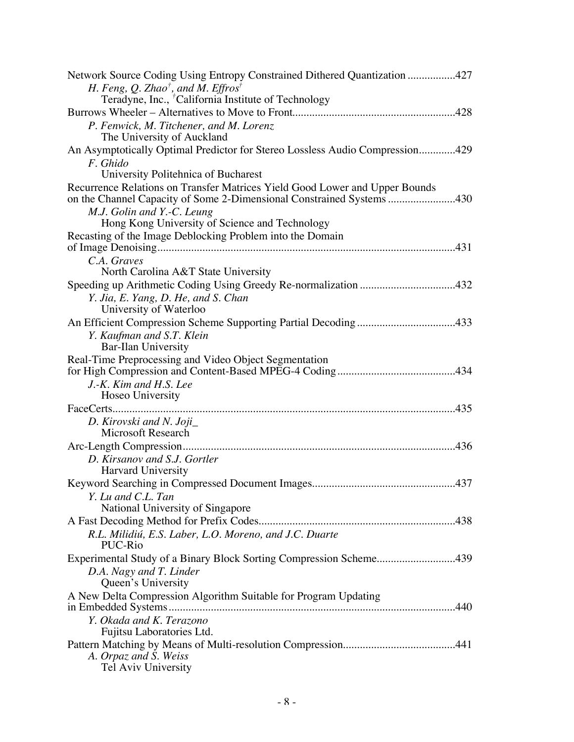| Network Source Coding Using Entropy Constrained Dithered Quantization 427                                                                            |
|------------------------------------------------------------------------------------------------------------------------------------------------------|
| H. Feng, Q. Zhao <sup>†</sup> , and M. Effros <sup>†</sup>                                                                                           |
| Teradyne, Inc., <sup>†</sup> California Institute of Technology                                                                                      |
| P. Fenwick, M. Titchener, and M. Lorenz                                                                                                              |
| The University of Auckland                                                                                                                           |
| An Asymptotically Optimal Predictor for Stereo Lossless Audio Compression429                                                                         |
| F. Ghido                                                                                                                                             |
| University Politehnica of Bucharest                                                                                                                  |
| Recurrence Relations on Transfer Matrices Yield Good Lower and Upper Bounds<br>on the Channel Capacity of Some 2-Dimensional Constrained Systems 430 |
| M.J. Golin and Y.-C. Leung                                                                                                                           |
| Hong Kong University of Science and Technology                                                                                                       |
| Recasting of the Image Deblocking Problem into the Domain                                                                                            |
|                                                                                                                                                      |
| C.A. Graves                                                                                                                                          |
| North Carolina A&T State University                                                                                                                  |
| Y. Jia, E. Yang, D. He, and S. Chan                                                                                                                  |
| University of Waterloo                                                                                                                               |
| An Efficient Compression Scheme Supporting Partial Decoding433                                                                                       |
| Y. Kaufman and S.T. Klein                                                                                                                            |
| <b>Bar-Ilan University</b>                                                                                                                           |
| Real-Time Preprocessing and Video Object Segmentation                                                                                                |
|                                                                                                                                                      |
|                                                                                                                                                      |
| J.-K. Kim and H.S. Lee                                                                                                                               |
| Hoseo University                                                                                                                                     |
|                                                                                                                                                      |
| D. Kirovski and N. Joji<br>Microsoft Research                                                                                                        |
|                                                                                                                                                      |
| D. Kirsanov and S.J. Gortler                                                                                                                         |
| Harvard University                                                                                                                                   |
|                                                                                                                                                      |
| Y. Lu and C.L. Tan                                                                                                                                   |
| National University of Singapore                                                                                                                     |
|                                                                                                                                                      |
| R.L. Milidiú, E.S. Laber, L.O. Moreno, and J.C. Duarte<br>PUC-Rio                                                                                    |
| Experimental Study of a Binary Block Sorting Compression Scheme439                                                                                   |
| D.A. Nagy and T. Linder                                                                                                                              |
| Queen's University                                                                                                                                   |
| A New Delta Compression Algorithm Suitable for Program Updating                                                                                      |
|                                                                                                                                                      |
| Y. Okada and K. Terazono                                                                                                                             |
| Fujitsu Laboratories Ltd.                                                                                                                            |
| A. Orpaz and S. Weiss<br>Tel Aviv University                                                                                                         |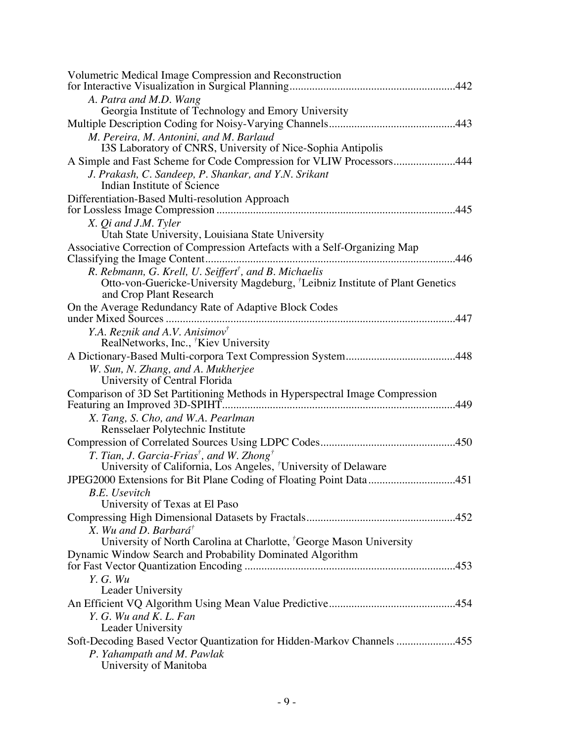| Volumetric Medical Image Compression and Reconstruction                                                             |
|---------------------------------------------------------------------------------------------------------------------|
|                                                                                                                     |
| A. Patra and M.D. Wang<br>Georgia Institute of Technology and Emory University                                      |
|                                                                                                                     |
|                                                                                                                     |
| M. Pereira, M. Antonini, and M. Barlaud<br>I3S Laboratory of CNRS, University of Nice-Sophia Antipolis              |
| A Simple and Fast Scheme for Code Compression for VLIW Processors444                                                |
| J. Prakash, C. Sandeep, P. Shankar, and Y.N. Srikant                                                                |
| Indian Institute of Science                                                                                         |
| Differentiation-Based Multi-resolution Approach                                                                     |
| .445                                                                                                                |
| X. Qi and J.M. Tyler                                                                                                |
| Utah State University, Louisiana State University                                                                   |
| Associative Correction of Compression Artefacts with a Self-Organizing Map                                          |
|                                                                                                                     |
| R. Rebmann, G. Krell, U. Seiffert <sup>†</sup> , and B. Michaelis                                                   |
| Otto-von-Guericke-University Magdeburg, <sup>†</sup> Leibniz Institute of Plant Genetics<br>and Crop Plant Research |
| On the Average Redundancy Rate of Adaptive Block Codes                                                              |
|                                                                                                                     |
| Y.A. Reznik and A.V. Anisimov <sup>†</sup>                                                                          |
| RealNetworks, Inc., <sup>†</sup> Kiev University                                                                    |
|                                                                                                                     |
| W. Sun, N. Zhang, and A. Mukherjee                                                                                  |
| University of Central Florida                                                                                       |
| Comparison of 3D Set Partitioning Methods in Hyperspectral Image Compression                                        |
|                                                                                                                     |
| X. Tang, S. Cho, and W.A. Pearlman                                                                                  |
| Rensselaer Polytechnic Institute                                                                                    |
|                                                                                                                     |
| T. Tian, J. Garcia-Frias <sup>†</sup> , and W. Zhong <sup>†</sup>                                                   |
| University of California, Los Angeles, <sup>†</sup> University of Delaware                                          |
|                                                                                                                     |
| <b>B.E.</b> Usevitch                                                                                                |
| University of Texas at El Paso                                                                                      |
|                                                                                                                     |
| X. Wu and D. Barbará <sup>†</sup>                                                                                   |
| University of North Carolina at Charlotte, <sup>†</sup> George Mason University                                     |
| Dynamic Window Search and Probability Dominated Algorithm                                                           |
| Y. G. Wu                                                                                                            |
| Leader University                                                                                                   |
|                                                                                                                     |
| Y. G. Wu and K. L. Fan                                                                                              |
| Leader University                                                                                                   |
| Soft-Decoding Based Vector Quantization for Hidden-Markov Channels 455                                              |
| P. Yahampath and M. Pawlak                                                                                          |
| University of Manitoba                                                                                              |
|                                                                                                                     |